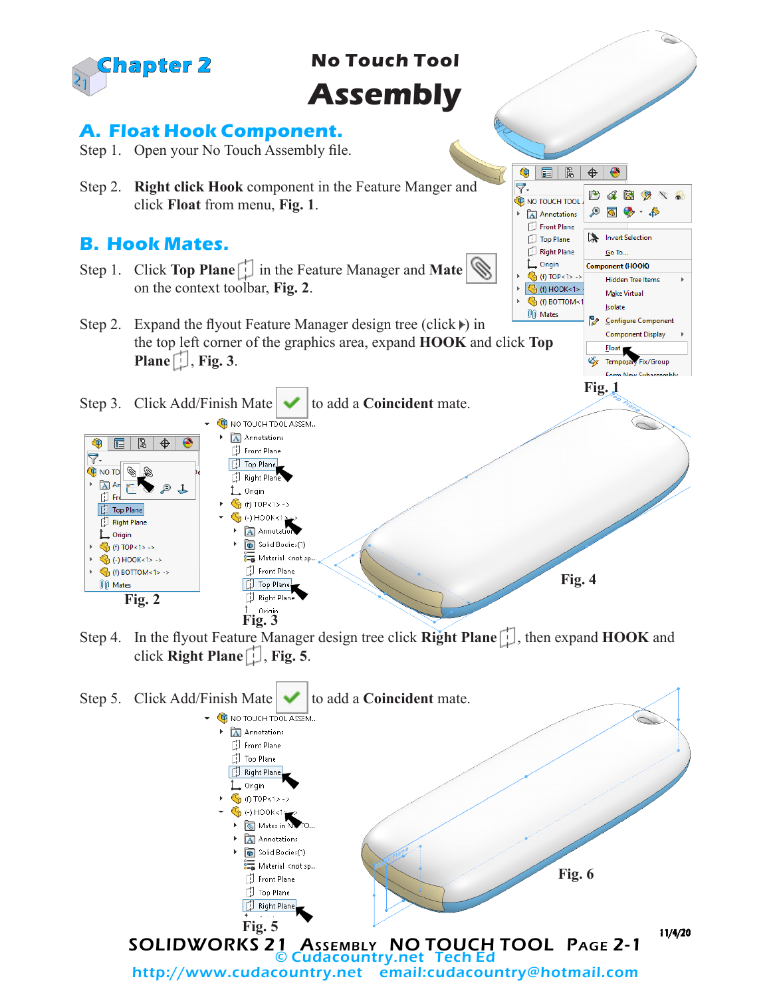

Step 4. In the flyout Feature Manager design tree click **Right Plane** . then expand **HOOK** and click **Right Plane** , **Fig. 5**.

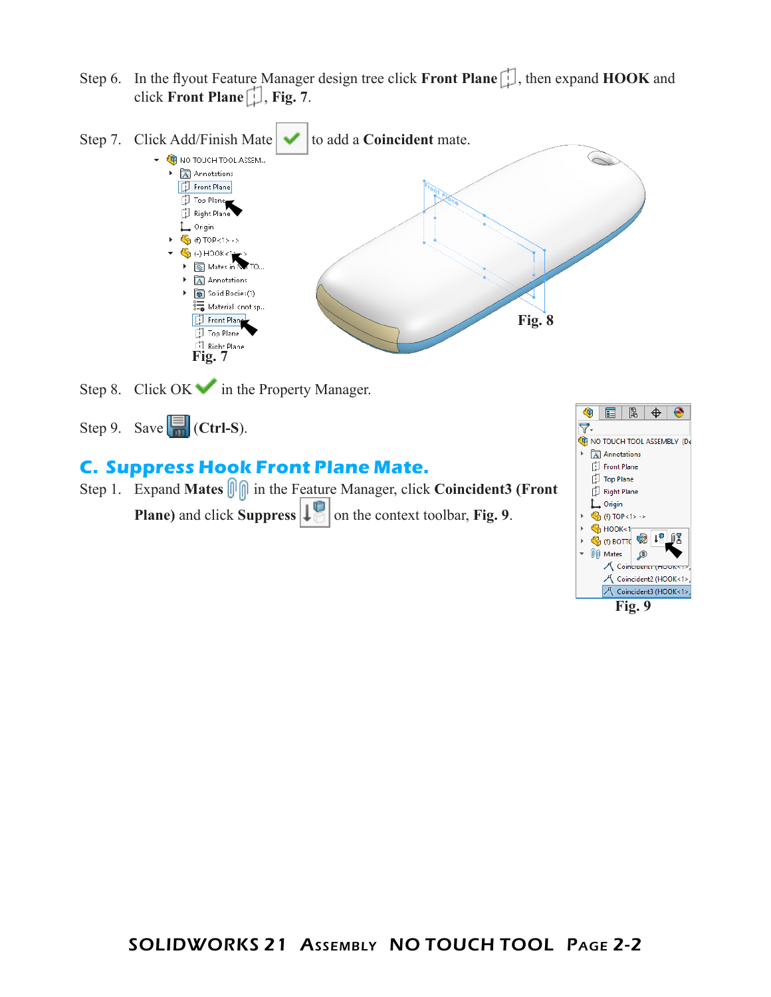Step 6. In the flyout Feature Manager design tree click **Front Plane** , then expand **HOOK** and click **Front Plane**  $\begin{bmatrix} 1 \\ 1 \end{bmatrix}$ , **Fig. 7**.



Step 8. Click  $OK \rightarrow$  in the Property Manager.

Step 9. Save  $\boxed{\Box}$  (Ctrl-S).

## **C. Suppress Hook Front Plane Mate.**

Step 1. Expand Mates  $\boxed{\left\Vert \right\Vert}$  in the Feature Manager, click Coincident3 (Front **Plane)** and click **Suppress**  $\left| \cdot \right|$  on the context toolbar, **Fig. 9**.